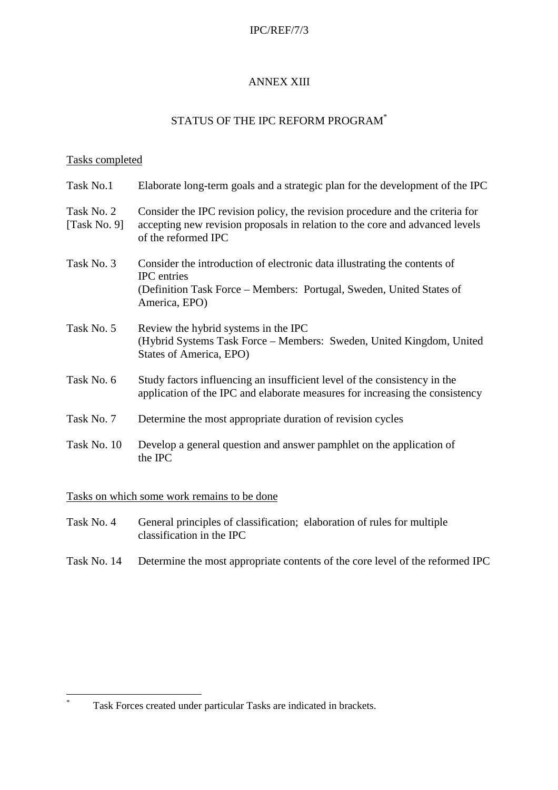#### IPC/REF/7/3

### ANNEX XIII

# STATUS OF THE IPC REFORM PROGRAM\*

### Tasks completed

| Task No.1                  | Elaborate long-term goals and a strategic plan for the development of the IPC                                                                                                            |
|----------------------------|------------------------------------------------------------------------------------------------------------------------------------------------------------------------------------------|
| Task No. 2<br>[Task No. 9] | Consider the IPC revision policy, the revision procedure and the criteria for<br>accepting new revision proposals in relation to the core and advanced levels<br>of the reformed IPC     |
| Task No. 3                 | Consider the introduction of electronic data illustrating the contents of<br><b>IPC</b> entries<br>(Definition Task Force – Members: Portugal, Sweden, United States of<br>America, EPO) |
| Task No. 5                 | Review the hybrid systems in the IPC<br>(Hybrid Systems Task Force - Members: Sweden, United Kingdom, United<br>States of America, EPO)                                                  |
| Task No. 6                 | Study factors influencing an insufficient level of the consistency in the<br>application of the IPC and elaborate measures for increasing the consistency                                |
| Task No. 7                 | Determine the most appropriate duration of revision cycles                                                                                                                               |
| Task No. 10                | Develop a general question and answer pamphlet on the application of<br>the IPC                                                                                                          |

Tasks on which some work remains to be done

\*

- Task No. 4 General principles of classification; elaboration of rules for multiple classification in the IPC
- Task No. 14 Determine the most appropriate contents of the core level of the reformed IPC

Task Forces created under particular Tasks are indicated in brackets.